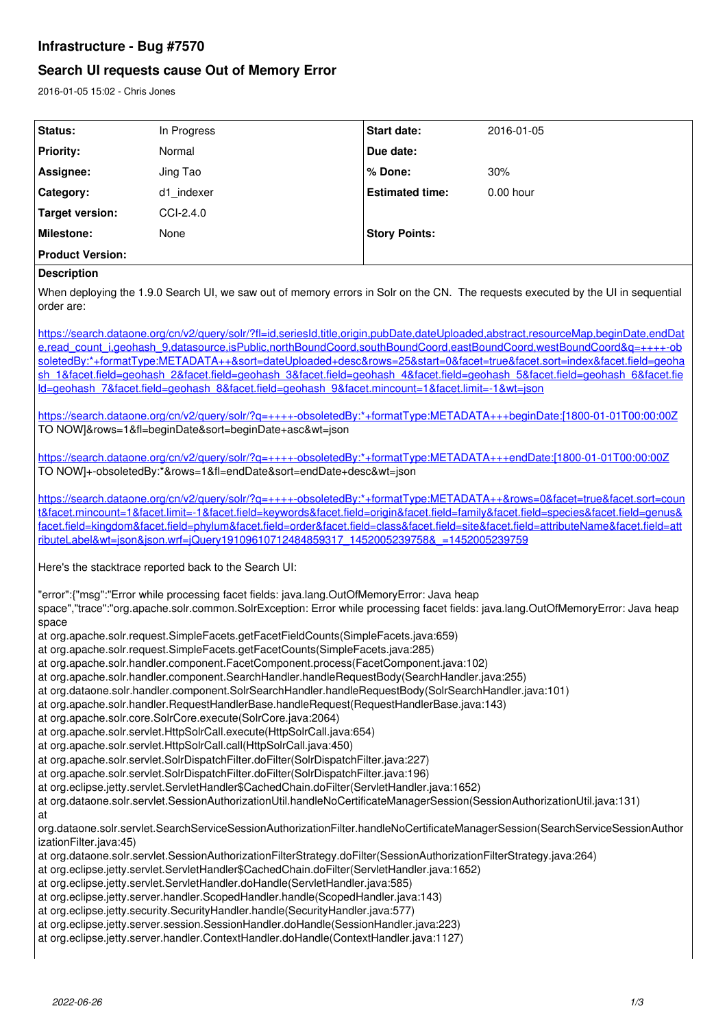# **Infrastructure - Bug #7570**

# **Search UI requests cause Out of Memory Error**

2016-01-05 15:02 - Chris Jones

| Status:                                                                                                                                                                                                                                                                                                                                                                                                                                                                                                                                                                                                                                                                                                                                                                                                                                                                                                                                                                                                                                                                                                             | In Progress | Start date:            | 2016-01-05  |
|---------------------------------------------------------------------------------------------------------------------------------------------------------------------------------------------------------------------------------------------------------------------------------------------------------------------------------------------------------------------------------------------------------------------------------------------------------------------------------------------------------------------------------------------------------------------------------------------------------------------------------------------------------------------------------------------------------------------------------------------------------------------------------------------------------------------------------------------------------------------------------------------------------------------------------------------------------------------------------------------------------------------------------------------------------------------------------------------------------------------|-------------|------------------------|-------------|
| <b>Priority:</b>                                                                                                                                                                                                                                                                                                                                                                                                                                                                                                                                                                                                                                                                                                                                                                                                                                                                                                                                                                                                                                                                                                    | Normal      | Due date:              |             |
| Assignee:                                                                                                                                                                                                                                                                                                                                                                                                                                                                                                                                                                                                                                                                                                                                                                                                                                                                                                                                                                                                                                                                                                           | Jing Tao    | % Done:                | 30%         |
| Category:                                                                                                                                                                                                                                                                                                                                                                                                                                                                                                                                                                                                                                                                                                                                                                                                                                                                                                                                                                                                                                                                                                           | d1 indexer  | <b>Estimated time:</b> | $0.00$ hour |
| <b>Target version:</b>                                                                                                                                                                                                                                                                                                                                                                                                                                                                                                                                                                                                                                                                                                                                                                                                                                                                                                                                                                                                                                                                                              | CCI-2.4.0   |                        |             |
| Milestone:                                                                                                                                                                                                                                                                                                                                                                                                                                                                                                                                                                                                                                                                                                                                                                                                                                                                                                                                                                                                                                                                                                          | None        | <b>Story Points:</b>   |             |
| <b>Product Version:</b>                                                                                                                                                                                                                                                                                                                                                                                                                                                                                                                                                                                                                                                                                                                                                                                                                                                                                                                                                                                                                                                                                             |             |                        |             |
| <b>Description</b>                                                                                                                                                                                                                                                                                                                                                                                                                                                                                                                                                                                                                                                                                                                                                                                                                                                                                                                                                                                                                                                                                                  |             |                        |             |
| When deploying the 1.9.0 Search UI, we saw out of memory errors in Solr on the CN. The requests executed by the UI in sequential<br>order are:                                                                                                                                                                                                                                                                                                                                                                                                                                                                                                                                                                                                                                                                                                                                                                                                                                                                                                                                                                      |             |                        |             |
| https://search.dataone.org/cn/v2/query/solr/?fl=id.seriesId.title.origin.pubDate.dateUploaded.abstract.resourceMap.beginDate.endDat<br>e.read_count_i.geohash_9.datasource.isPublic.northBoundCoord.southBoundCoord.eastBoundCoord.westBoundCoord&g=++++-ob<br>soletedBy:*+formatType:METADATA++&sort=dateUploaded+desc&rows=25&start=0&facet=true&facet.sort=index&facet.field=geoha<br>sh 1&facet.field=geohash 2&facet.field=geohash 3&facet.field=geohash 4&facet.field=geohash 5&facet.field=geohash 6&facet.fie<br>Id=geohash 7&facet.field=geohash 8&facet.field=geohash 9&facet.mincount=1&facet.limit=-1&wt=json                                                                                                                                                                                                                                                                                                                                                                                                                                                                                           |             |                        |             |
| https://search.dataone.org/cn/v2/query/solr/?q=++++-obsoletedBy:*+formatType:METADATA+++beginDate:[1800-01-01T00:00:00Z<br>TO NOW]&rows=1&fl=beginDate&sort=beginDate+asc&wt=json                                                                                                                                                                                                                                                                                                                                                                                                                                                                                                                                                                                                                                                                                                                                                                                                                                                                                                                                   |             |                        |             |
| https://search.dataone.org/cn/v2/query/solr/?q=++++-obsoletedBy:*+formatType:METADATA+++endDate:[1800-01-01T00:00:00Z<br>TO NOW]+-obsoletedBy:*&rows=1&fl=endDate&sort=endDate+desc&wt=json                                                                                                                                                                                                                                                                                                                                                                                                                                                                                                                                                                                                                                                                                                                                                                                                                                                                                                                         |             |                        |             |
| https://search.dataone.org/cn/v2/query/solr/?q=++++-obsoletedBy:*+formatType:METADATA++&rows=0&facet=true&facet.sort=coun<br>t&facet.mincount=1&facet.limit=-1&facet.field=keywords&facet.field=origin&facet.field=family&facet.field=species&facet.field=genus&<br>facet.field=kingdom&facet.field=phylum&facet.field=order&facet.field=class&facet.field=site&facet.field=attributeName&facet.field=att<br>ributeLabel&wt=ison&ison.wrf=iQuery19109610712484859317_1452005239758& =1452005239759                                                                                                                                                                                                                                                                                                                                                                                                                                                                                                                                                                                                                  |             |                        |             |
| Here's the stacktrace reported back to the Search UI:                                                                                                                                                                                                                                                                                                                                                                                                                                                                                                                                                                                                                                                                                                                                                                                                                                                                                                                                                                                                                                                               |             |                        |             |
| "error":{"msg":"Error while processing facet fields: java.lang.OutOfMemoryError: Java heap<br>space","trace":"org.apache.solr.common.SolrException: Error while processing facet fields: java.lang.OutOfMemoryError: Java heap<br>space<br>at org.apache.solr.request.SimpleFacets.getFacetFieldCounts(SimpleFacets.java:659)<br>at org.apache.solr.request.SimpleFacets.getFacetCounts(SimpleFacets.java:285)<br>at org.apache.solr.handler.component.FacetComponent.process(FacetComponent.java:102)<br>at org.apache.solr.handler.component.SearchHandler.handleRequestBody(SearchHandler.java:255)<br>at org.dataone.solr.handler.component.SolrSearchHandler.handleRequestBody(SolrSearchHandler.java:101)<br>at org.apache.solr.handler.RequestHandlerBase.handleRequest(RequestHandlerBase.java:143)<br>at org.apache.solr.core.SolrCore.execute(SolrCore.java:2064)<br>at org.apache.solr.servlet.HttpSolrCall.execute(HttpSolrCall.java:654)<br>at org.apache.solr.servlet.HttpSolrCall.call(HttpSolrCall.java:450)<br>at org.apache.solr.servlet.SolrDispatchFilter.doFilter(SolrDispatchFilter.java:227) |             |                        |             |
| at org.apache.solr.servlet.SolrDispatchFilter.doFilter(SolrDispatchFilter.java:196)<br>at org.eclipse.jetty.servlet.ServletHandler\$CachedChain.doFilter(ServletHandler.java:1652)<br>at org.dataone.solr.servlet.SessionAuthorizationUtil.handleNoCertificateManagerSession(SessionAuthorizationUtil.java:131)<br>at                                                                                                                                                                                                                                                                                                                                                                                                                                                                                                                                                                                                                                                                                                                                                                                               |             |                        |             |
| org.dataone.solr.servlet.SearchServiceSessionAuthorizationFilter.handleNoCertificateManagerSession(SearchServiceSessionAuthor<br>izationFilter.java:45)<br>at org.dataone.solr.servlet.SessionAuthorizationFilterStrategy.doFilter(SessionAuthorizationFilterStrategy.java:264)<br>at org.eclipse.jetty.servlet.ServletHandler\$CachedChain.doFilter(ServletHandler.java:1652)<br>at org.eclipse.jetty.servlet.ServletHandler.doHandle(ServletHandler.java:585)<br>at org.eclipse.jetty.server.handler.ScopedHandler.handle(ScopedHandler.java:143)<br>at org.eclipse.jetty.security.SecurityHandler.handle(SecurityHandler.java:577)<br>at org.eclipse.jetty.server.session.SessionHandler.doHandle(SessionHandler.java:223)<br>at org.eclipse.jetty.server.handler.ContextHandler.doHandle(ContextHandler.java:1127)                                                                                                                                                                                                                                                                                              |             |                        |             |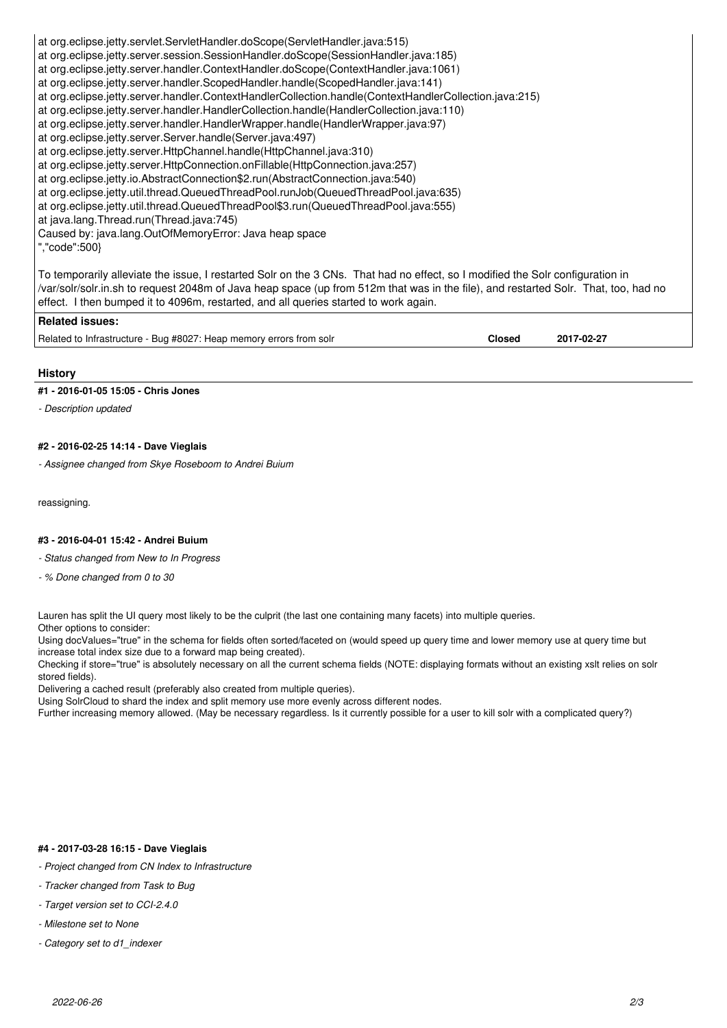at org.eclipse.jetty.servlet.ServletHandler.doScope(ServletHandler.java:515) at org.eclipse.jetty.server.session.SessionHandler.doScope(SessionHandler.java:185) at org.eclipse.jetty.server.handler.ContextHandler.doScope(ContextHandler.java:1061) at org.eclipse.jetty.server.handler.ScopedHandler.handle(ScopedHandler.java:141) at org.eclipse.jetty.server.handler.ContextHandlerCollection.handle(ContextHandlerCollection.java:215) at org.eclipse.jetty.server.handler.HandlerCollection.handle(HandlerCollection.java:110) at org.eclipse.jetty.server.handler.HandlerWrapper.handle(HandlerWrapper.java:97) at org.eclipse.jetty.server.Server.handle(Server.java:497) at org.eclipse.jetty.server.HttpChannel.handle(HttpChannel.java:310) at org.eclipse.jetty.server.HttpConnection.onFillable(HttpConnection.java:257) at org.eclipse.jetty.io.AbstractConnection\$2.run(AbstractConnection.java:540) at org.eclipse.jetty.util.thread.QueuedThreadPool.runJob(QueuedThreadPool.java:635) at org.eclipse.jetty.util.thread.QueuedThreadPool\$3.run(QueuedThreadPool.java:555) at java.lang.Thread.run(Thread.java:745) Caused by: java.lang.OutOfMemoryError: Java heap space ","code":500} To temporarily alleviate the issue, I restarted Solr on the 3 CNs. That had no effect, so I modified the Solr configuration in /var/solr/solr.in.sh to request 2048m of Java heap space (up from 512m that was in the file), and restarted Solr. That, too, had no effect. I then bumped it to 4096m, restarted, and all queries started to work again.

**Related issues:** Related to Infrastructure - Bug #8027: Heap memory errors from solr **Closed 2017-02-27**

### **History**

#### **#1 - 2016-01-05 15:05 - Chris Jones**

*- Description updated*

### **#2 - 2016-02-25 14:14 - Dave Vieglais**

*- Assignee changed from Skye Roseboom to Andrei Buium*

reassigning.

#### **#3 - 2016-04-01 15:42 - Andrei Buium**

*- Status changed from New to In Progress*

*- % Done changed from 0 to 30*

Lauren has split the UI query most likely to be the culprit (the last one containing many facets) into multiple queries.

Other options to consider:

Using docValues="true" in the schema for fields often sorted/faceted on (would speed up query time and lower memory use at query time but increase total index size due to a forward map being created).

Checking if store="true" is absolutely necessary on all the current schema fields (NOTE: displaying formats without an existing xslt relies on solr stored fields).

Delivering a cached result (preferably also created from multiple queries).

Using SolrCloud to shard the index and split memory use more evenly across different nodes.

Further increasing memory allowed. (May be necessary regardless. Is it currently possible for a user to kill solr with a complicated query?)

#### **#4 - 2017-03-28 16:15 - Dave Vieglais**

- *Project changed from CN Index to Infrastructure*
- *Tracker changed from Task to Bug*
- *Target version set to CCI-2.4.0*
- *Milestone set to None*
- *Category set to d1\_indexer*